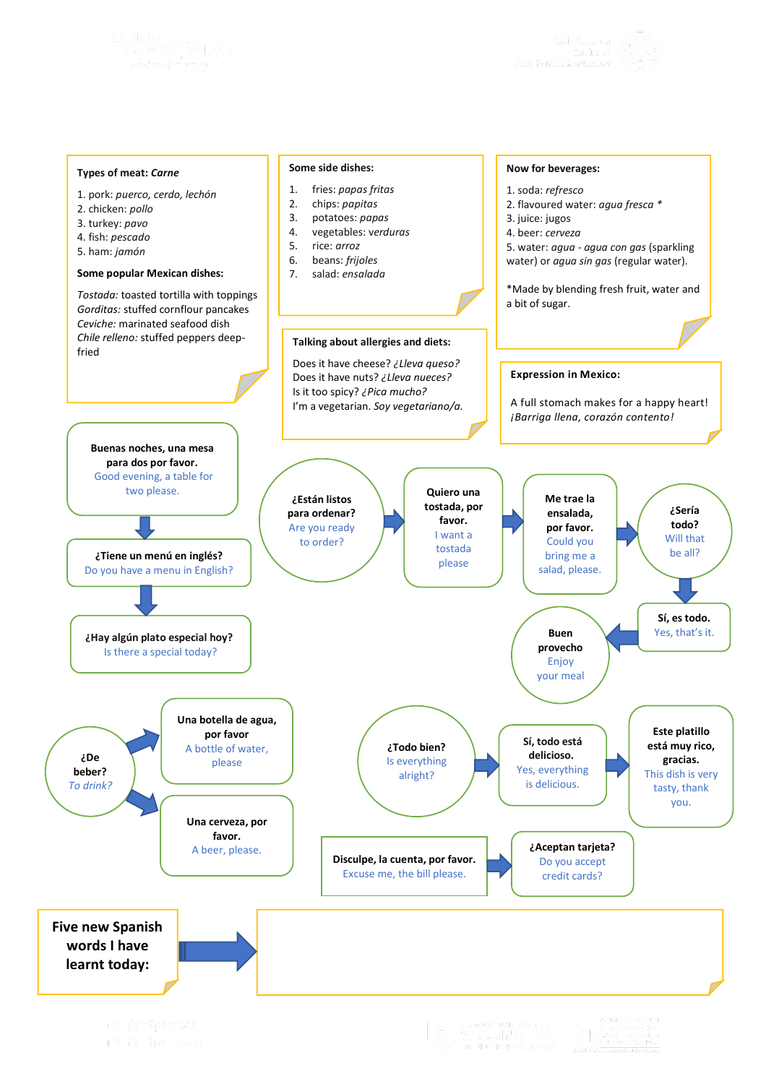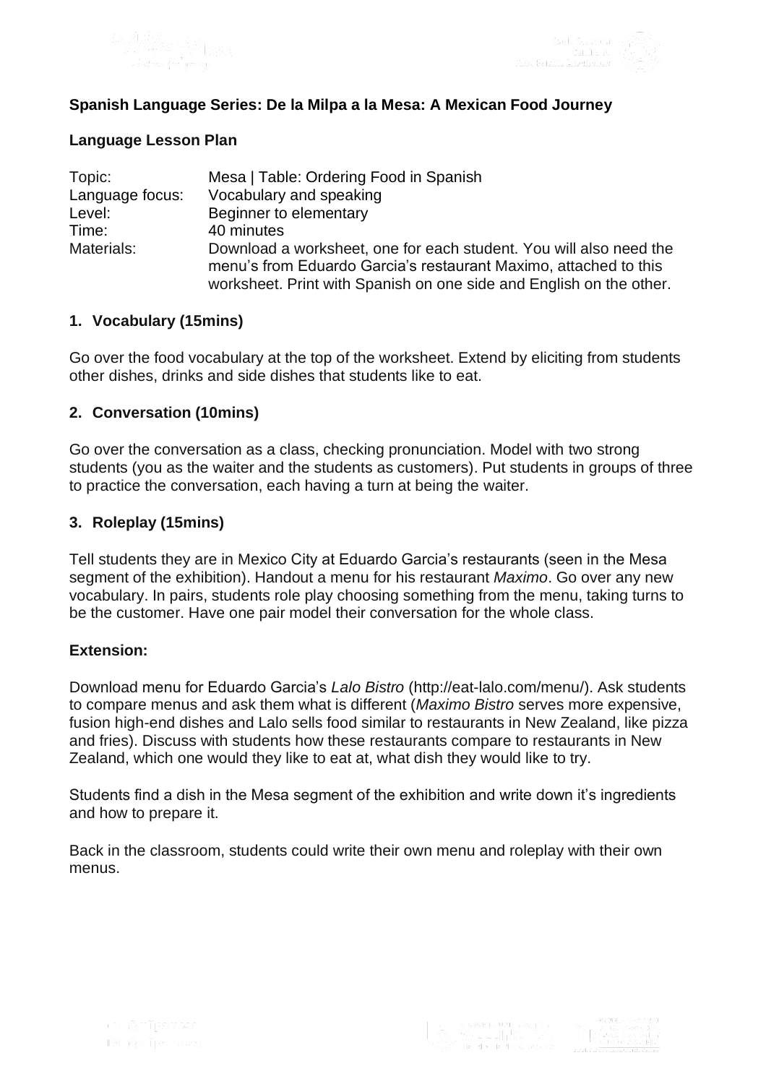



## **Spanish Language Series: De la Milpa a la Mesa: A Mexican Food Journey**

### **Language Lesson Plan**

| Topic:          | Mesa   Table: Ordering Food in Spanish                                                                                                                                                                        |
|-----------------|---------------------------------------------------------------------------------------------------------------------------------------------------------------------------------------------------------------|
| Language focus: | Vocabulary and speaking                                                                                                                                                                                       |
| Level:          | Beginner to elementary                                                                                                                                                                                        |
| Time:           | 40 minutes                                                                                                                                                                                                    |
| Materials:      | Download a worksheet, one for each student. You will also need the<br>menu's from Eduardo Garcia's restaurant Maximo, attached to this<br>worksheet. Print with Spanish on one side and English on the other. |

### **1. Vocabulary (15mins)**

Go over the food vocabulary at the top of the worksheet. Extend by eliciting from students other dishes, drinks and side dishes that students like to eat.

### **2. Conversation (10mins)**

Go over the conversation as a class, checking pronunciation. Model with two strong students (you as the waiter and the students as customers). Put students in groups of three to practice the conversation, each having a turn at being the waiter.

### **3. Roleplay (15mins)**

Tell students they are in Mexico City at Eduardo Garcia's restaurants (seen in the Mesa segment of the exhibition). Handout a menu for his restaurant *Maximo*. Go over any new vocabulary. In pairs, students role play choosing something from the menu, taking turns to be the customer. Have one pair model their conversation for the whole class.

#### **Extension:**

Download menu for Eduardo Garcia's *Lalo Bistro* (http://eat-lalo.com/menu/). Ask students to compare menus and ask them what is different (*Maximo Bistro* serves more expensive, fusion high-end dishes and Lalo sells food similar to restaurants in New Zealand, like pizza and fries). Discuss with students how these restaurants compare to restaurants in New Zealand, which one would they like to eat at, what dish they would like to try.

Students find a dish in the Mesa segment of the exhibition and write down it's ingredients and how to prepare it.

Back in the classroom, students could write their own menu and roleplay with their own menus.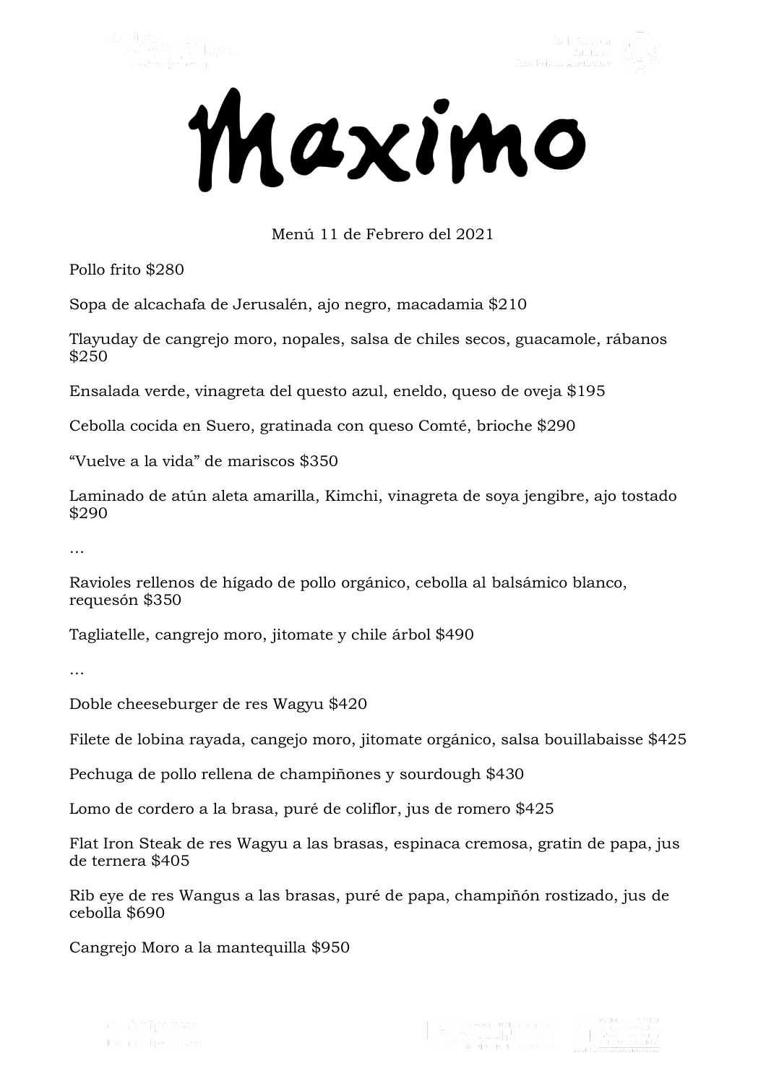



# Menú 11 de Febrero del 2021

Pollo frito \$280

Sopa de alcachafa de Jerusalén, ajo negro, macadamia \$210

Tlayuday de cangrejo moro, nopales, salsa de chiles secos, guacamole, rábanos \$250

Ensalada verde, vinagreta del questo azul, eneldo, queso de oveja \$195

Cebolla cocida en Suero, gratinada con queso Comté, brioche \$290

"Vuelve a la vida" de mariscos \$350

Laminado de atún aleta amarilla, Kimchi, vinagreta de soya jengibre, ajo tostado \$290

…

Ravioles rellenos de hígado de pollo orgánico, cebolla al balsámico blanco, requesón \$350

Tagliatelle, cangrejo moro, jitomate y chile árbol \$490

…

Doble cheeseburger de res Wagyu \$420

Filete de lobina rayada, cangejo moro, jitomate orgánico, salsa bouillabaisse \$425

Pechuga de pollo rellena de champiñones y sourdough \$430

Lomo de cordero a la brasa, puré de coliflor, jus de romero \$425

Flat Iron Steak de res Wagyu a las brasas, espinaca cremosa, gratin de papa, jus de ternera \$405

Rib eye de res Wangus a las brasas, puré de papa, champiñón rostizado, jus de cebolla \$690

Cangrejo Moro a la mantequilla \$950